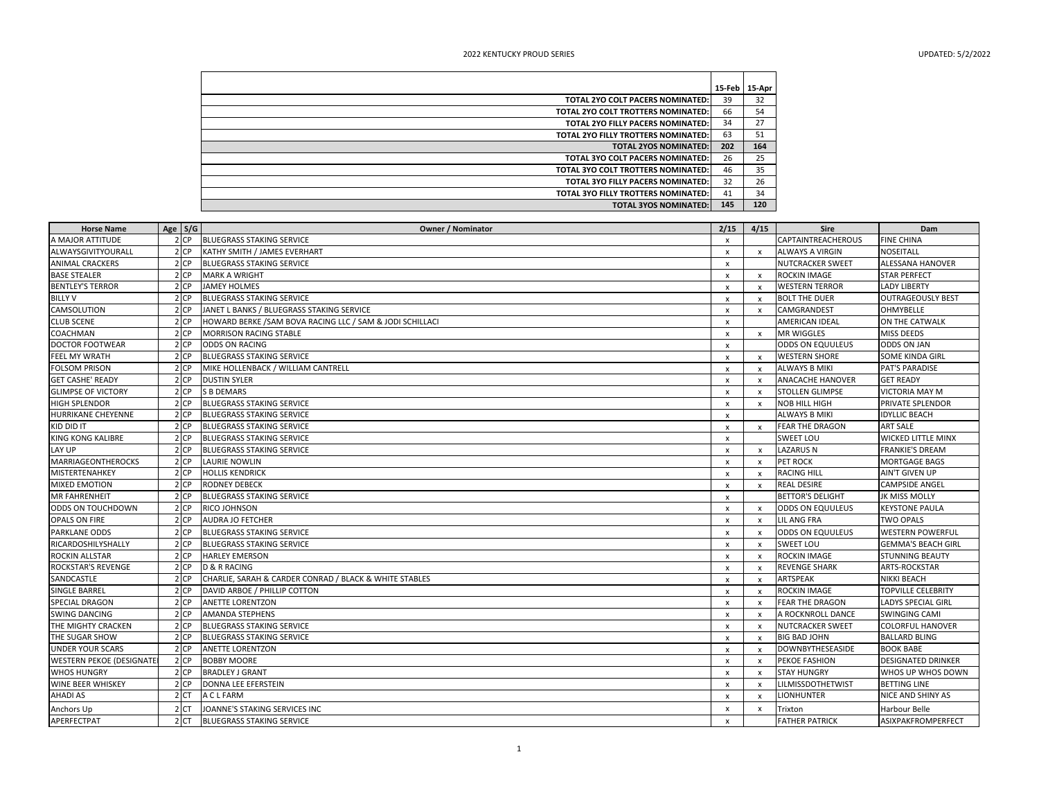|                                          | 15-Feb | 15-Apr |
|------------------------------------------|--------|--------|
| TOTAL 2YO COLT PACERS NOMINATED:         | 39     | 32     |
| TOTAL 2YO COLT TROTTERS NOMINATED:       | 66     | 54     |
| TOTAL 2YO FILLY PACERS NOMINATED:        | 34     | 27     |
| TOTAL 2YO FILLY TROTTERS NOMINATED:      | 63     | 51     |
| <b>TOTAL 2YOS NOMINATED:</b>             | 202    | 164    |
| <b>TOTAL 3YO COLT PACERS NOMINATED:</b>  | 26     | 25     |
| TOTAL 3YO COLT TROTTERS NOMINATED:       | 46     | 35     |
| <b>TOTAL 3YO FILLY PACERS NOMINATED:</b> | 32     | 26     |
| TOTAL 3YO FILLY TROTTERS NOMINATED:      | 41     | 34     |
| <b>TOTAL 3YOS NOMINATED:</b>             | 145    | 120    |

| <b>Horse Name</b>                | Age S/G | Owner / Nominator                                        | 2/15                      | 4/15                      | Sire                     | Dam                       |
|----------------------------------|---------|----------------------------------------------------------|---------------------------|---------------------------|--------------------------|---------------------------|
| A MAJOR ATTITUDE                 | 2 CP    | <b>BLUEGRASS STAKING SERVICE</b>                         | $\mathsf{x}$              |                           | CAPTAINTREACHEROUS       | <b>FINE CHINA</b>         |
| ALWAYSGIVITYOURALL               | 2 CP    | KATHY SMITH / JAMES EVERHART                             | $\mathsf{x}$              | $\mathsf{x}$              | <b>ALWAYS A VIRGIN</b>   | <b>NOSEITALL</b>          |
| <b>ANIMAL CRACKERS</b>           | 2 CP    | <b>BLUEGRASS STAKING SERVICE</b>                         | $\mathsf{x}$              |                           | <b>NUTCRACKER SWEET</b>  | ALESSANA HANOVER          |
| <b>BASE STEALER</b>              | 2 CP    | <b>MARK A WRIGHT</b>                                     | $\mathsf{x}$              | $\mathsf{x}$              | <b>ROCKIN IMAGE</b>      | <b>STAR PERFECT</b>       |
| <b>BENTLEY'S TERROR</b>          | 2 CP    | <b>JAMEY HOLMES</b>                                      | $\mathsf{x}$              | $\mathsf{x}$              | <b>WESTERN TERROR</b>    | <b>LADY LIBERTY</b>       |
| <b>BILLY V</b>                   | 2 CP    | <b>BLUEGRASS STAKING SERVICE</b>                         | $\mathsf{x}$              | $\mathsf{x}$              | <b>BOLT THE DUER</b>     | <b>OUTRAGEOUSLY BEST</b>  |
| CAMSOLUTION                      | 2 CP    | JANET L BANKS / BLUEGRASS STAKING SERVICE                | $\mathsf{x}$              | $\mathsf{x}$              | CAMGRANDEST              | <b>OHMYBELLE</b>          |
| <b>CLUB SCENE</b>                | 2 CP    | HOWARD BERKE /SAM BOVA RACING LLC / SAM & JODI SCHILLACI | $\mathsf{x}$              |                           | <b>AMERICAN IDEAL</b>    | ON THE CATWALK            |
| <b>COACHMAN</b>                  | 2 CP    | <b>MORRISON RACING STABLE</b>                            | $\mathsf{x}$              | $\mathsf{x}$              | <b>MR WIGGLES</b>        | <b>MISS DEEDS</b>         |
| <b>DOCTOR FOOTWEAR</b>           | 2 CP    | <b>ODDS ON RACING</b>                                    | $\mathsf{x}$              |                           | <b>ODDS ON EQUULEUS</b>  | <b>ODDS ON JAN</b>        |
| FEEL MY WRATH                    | 2 CP    | <b>BLUEGRASS STAKING SERVICE</b>                         | $\mathsf{x}$              | $\mathsf{x}$              | <b>WESTERN SHORE</b>     | <b>SOME KINDA GIRL</b>    |
| <b>FOLSOM PRISON</b>             | 2 CP    | MIKE HOLLENBACK / WILLIAM CANTRELL                       | $\mathsf{x}$              | $\pmb{\chi}$              | <b>ALWAYS B MIKI</b>     | PAT'S PARADISE            |
| <b>GET CASHE' READY</b>          | 2 CP    | <b>DUSTIN SYLER</b>                                      | $\pmb{\chi}$              | $\mathsf{x}$              | <b>ANACACHE HANOVER</b>  | <b>GET READY</b>          |
| <b>GLIMPSE OF VICTORY</b>        | 2 CP    | <b>S B DEMARS</b>                                        | $\mathsf{x}$              | $\mathsf{x}$              | <b>STOLLEN GLIMPSE</b>   | <b>VICTORIA MAY M</b>     |
| <b>HIGH SPLENDOR</b>             | 2 CP    | <b>BLUEGRASS STAKING SERVICE</b>                         | $\mathsf{x}$              | $\mathsf{x}$              | <b>NOB HILL HIGH</b>     | PRIVATE SPLENDOR          |
| HURRIKANE CHEYENNE               | 2 CP    | <b>BLUEGRASS STAKING SERVICE</b>                         | $\boldsymbol{\mathsf{x}}$ |                           | ALWAYS B MIKI            | <b>IDYLLIC BEACH</b>      |
| KID DID IT                       | 2 CP    | <b>BLUEGRASS STAKING SERVICE</b>                         | $\mathsf{x}$              | $\mathsf{x}$              | <b>FEAR THE DRAGON</b>   | <b>ART SALE</b>           |
| KING KONG KALIBRE                | 2 CP    | <b>BLUEGRASS STAKING SERVICE</b>                         | $\mathsf{x}$              |                           | SWEET LOU                | <b>WICKED LITTLE MINX</b> |
| LAY UP                           | 2 CP    | <b>BLUEGRASS STAKING SERVICE</b>                         | $\mathbf{x}$              | $\mathsf{x}$              | <b>LAZARUS N</b>         | <b>FRANKIE'S DREAM</b>    |
| <b>MARRIAGEONTHEROCKS</b>        | 2 CP    | <b>LAURIE NOWLIN</b>                                     | $\mathsf{x}$              | $\mathsf{x}$              | PET ROCK                 | MORTGAGE BAGS             |
| <b>MISTERTENAHKEY</b>            | 2 CP    | <b>HOLLIS KENDRICK</b>                                   | $\mathsf{x}$              | $\mathsf{x}$              | <b>RACING HILL</b>       | AIN'T GIVEN UP            |
| <b>MIXED EMOTION</b>             | 2 CP    | <b>RODNEY DEBECK</b>                                     | $\mathsf{x}$              | $\mathbf{x}$              | <b>REAL DESIRE</b>       | <b>CAMPSIDE ANGEL</b>     |
| <b>MR FAHRENHEIT</b>             | 2 CP    | <b>BLUEGRASS STAKING SERVICE</b>                         | $\mathsf{x}$              |                           | <b>BETTOR'S DELIGHT</b>  | <b>JK MISS MOLLY</b>      |
| ODDS ON TOUCHDOWN                | 2 CP    | RICO JOHNSON                                             | $\mathsf{x}$              | $\mathsf{x}$              | <b>ODDS ON EQUULEUS</b>  | <b>KEYSTONE PAULA</b>     |
| <b>OPALS ON FIRE</b>             | 2 CP    | <b>AUDRA JO FETCHER</b>                                  | $\boldsymbol{\mathsf{x}}$ | $\mathsf{x}$              | <b>LIL ANG FRA</b>       | <b>TWO OPALS</b>          |
| <b>PARKLANE ODDS</b>             | $2$ CP  | <b>BLUEGRASS STAKING SERVICE</b>                         | $\mathsf{x}$              | $\mathsf{x}$              | <b>ODDS ON EQUULEUS</b>  | <b>WESTERN POWERFUL</b>   |
| RICARDOSHILYSHALLY               | 2 CP    | <b>BLUEGRASS STAKING SERVICE</b>                         | $\mathbf{x}$              | $\mathsf{x}$              | <b>SWEET LOU</b>         | <b>GEMMA'S BEACH GIRL</b> |
| ROCKIN ALLSTAR                   | 2 CP    | <b>HARLEY EMERSON</b>                                    | $\mathsf{x}$              | $\mathsf{x}$              | <b>ROCKIN IMAGE</b>      | <b>STUNNING BEAUTY</b>    |
| <b>ROCKSTAR'S REVENGE</b>        | 2 CP    | <b>D &amp; R RACING</b>                                  | $\mathsf{x}$              | $\mathsf{x}$              | <b>REVENGE SHARK</b>     | ARTS-ROCKSTAR             |
| SANDCASTLE                       | 2 CP    | CHARLIE, SARAH & CARDER CONRAD / BLACK & WHITE STABLES   | $\mathsf{x}$              | $\mathsf{x}$              | ARTSPEAK                 | NIKKI BEACH               |
| <b>SINGLE BARREL</b>             | 2 CP    | DAVID ARBOE / PHILLIP COTTON                             | $\mathsf{x}$              | $\mathsf{x}$              | <b>ROCKIN IMAGE</b>      | <b>TOPVILLE CELEBRITY</b> |
| SPECIAL DRAGON                   | 2 CP    | <b>ANETTE LORENTZON</b>                                  | $\mathsf{x}$              | $\mathsf{x}$              | <b>FEAR THE DRAGON</b>   | LADYS SPECIAL GIRL        |
| <b>SWING DANCING</b>             | 2 CP    | <b>AMANDA STEPHENS</b>                                   | $\boldsymbol{\mathsf{x}}$ | $\mathsf{x}$              | A ROCKNROLL DANCE        | <b>SWINGING CAMI</b>      |
| THE MIGHTY CRACKEN               | 2 CP    | <b>BLUEGRASS STAKING SERVICE</b>                         | $\mathsf{x}$              | $\mathsf{x}$              | <b>NUTCRACKER SWEET</b>  | <b>COLORFUL HANOVER</b>   |
| THE SUGAR SHOW                   | 2 CP    | <b>BLUEGRASS STAKING SERVICE</b>                         | $\mathsf{x}$              | $\mathsf{x}$              | <b>BIG BAD JOHN</b>      | <b>BALLARD BLING</b>      |
| <b>UNDER YOUR SCARS</b>          | 2 CP    | <b>ANETTE LORENTZON</b>                                  | $\mathsf{x}$              | $\mathbf{x}$              | DOWNBYTHESEASIDE         | <b>BOOK BABE</b>          |
| <b>WESTERN PEKOE (DESIGNATEI</b> | 2 CP    | <b>BOBBY MOORE</b>                                       | $\mathsf{x}$              | $\mathbf{x}$              | PEKOE FASHION            | <b>DESIGNATED DRINKER</b> |
| <b>WHOS HUNGRY</b>               | 2 CP    | <b>BRADLEY J GRANT</b>                                   | $\mathsf{x}$              | $\mathsf{x}$              | <b>STAY HUNGRY</b>       | WHOS UP WHOS DOWN         |
| WINE BEER WHISKEY                | 2 CP    | DONNA LEE EFERSTEIN                                      | $\mathsf{x}$              | $\mathsf{x}$              | <b>LILMISSDOTHETWIST</b> | <b>BETTING LINE</b>       |
| <b>AHADI AS</b>                  | 2 CT    | A C L FARM                                               | $\mathsf{x}$              | $\boldsymbol{\mathsf{x}}$ | <b>LIONHUNTER</b>        | NICE AND SHINY AS         |
| Anchors Up                       | 2 CT    | JOANNE'S STAKING SERVICES INC                            | $\pmb{\times}$            | $\boldsymbol{\mathsf{x}}$ | Trixton                  | Harbour Belle             |
| APERFECTPAT                      | 2 CT    | <b>BLUEGRASS STAKING SERVICE</b>                         | $\mathsf{x}$              |                           | <b>FATHER PATRICK</b>    | ASIXPAKFROMPERFECT        |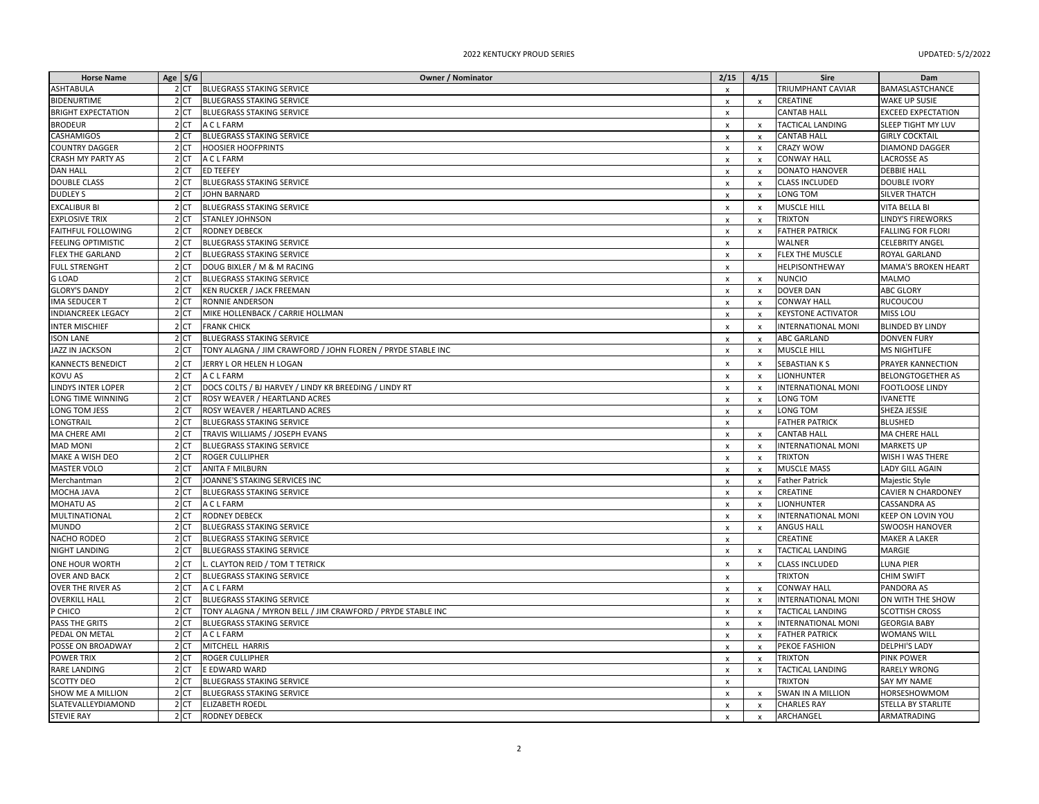| <b>Horse Name</b>         | Age $S/G$       | <b>Owner / Nominator</b>                                    | 2/15                      | 4/15                      | <b>Sire</b>               | Dam                       |
|---------------------------|-----------------|-------------------------------------------------------------|---------------------------|---------------------------|---------------------------|---------------------------|
| <b>ASHTABULA</b>          |                 | 2 CT BLUEGRASS STAKING SERVICE                              | $\boldsymbol{\mathsf{x}}$ |                           | TRIUMPHANT CAVIAR         | BAMASLASTCHANCE           |
| <b>BIDENURTIME</b>        | 2 CT            | <b>BLUEGRASS STAKING SERVICE</b>                            | $\pmb{\times}$            | $\boldsymbol{\mathsf{x}}$ | CREATINE                  | <b>WAKE UP SUSIE</b>      |
| <b>BRIGHT EXPECTATION</b> | 2 CT            | <b>BLUEGRASS STAKING SERVICE</b>                            | $\boldsymbol{\mathsf{x}}$ |                           | <b>CANTAB HALL</b>        | <b>EXCEED EXPECTATION</b> |
| <b>BRODEUR</b>            | 2 CT            | A C L FARM                                                  | $\boldsymbol{\mathsf{x}}$ | $\pmb{\mathsf{x}}$        | TACTICAL LANDING          | SLEEP TIGHT MY LUV        |
| CASHAMIGOS                | 2 CT            | <b>BLUEGRASS STAKING SERVICE</b>                            | $\mathsf{x}$              | $\mathsf{x}$              | <b>CANTAB HALL</b>        | <b>GIRLY COCKTAIL</b>     |
| <b>COUNTRY DAGGER</b>     | 2 CT            | <b>HOOSIER HOOFPRINTS</b>                                   | $\boldsymbol{\mathsf{x}}$ | $\mathsf{x}$              | <b>CRAZY WOW</b>          | <b>DIAMOND DAGGER</b>     |
| CRASH MY PARTY AS         | 2 CT            | A C L FARM                                                  | $\pmb{\chi}$              | $\boldsymbol{\mathsf{x}}$ | <b>CONWAY HALI</b>        | <b>LACROSSE AS</b>        |
| <b>DAN HALL</b>           | 2 CT            | <b>ED TEEFEY</b>                                            | $\pmb{\mathsf{x}}$        | $\mathsf{x}$              | DONATO HANOVER            | <b>DEBBIE HALL</b>        |
| <b>DOUBLE CLASS</b>       | 2 CT            | <b>BLUEGRASS STAKING SERVICE</b>                            | $\pmb{\chi}$              | $\pmb{\mathsf{x}}$        | CLASS INCLUDED            | <b>DOUBLE IVORY</b>       |
| <b>DUDLEY S</b>           | 2 CT            | <b>JOHN BARNARD</b>                                         | $\mathsf{x}$              | $\mathsf{x}$              | LONG TOM                  | SILVER THATCH             |
| <b>EXCALIBUR BI</b>       | 2 CT            | BLUEGRASS STAKING SERVICE                                   | $\boldsymbol{\mathsf{x}}$ | $\mathsf{x}$              | MUSCLE HILL               | VITA BELLA BI             |
| <b>EXPLOSIVE TRIX</b>     | 2 CT            | <b>STANLEY JOHNSON</b>                                      | $\boldsymbol{\mathsf{x}}$ | $\mathsf{x}$              | <b>TRIXTON</b>            | LINDY'S FIREWORKS         |
| FAITHFUL FOLLOWING        | 2 CT            | <b>RODNEY DEBECK</b>                                        | $\pmb{\times}$            | x                         | <b>FATHER PATRICK</b>     | <b>FALLING FOR FLORI</b>  |
| FEELING OPTIMISTIC        | 2 CT            | <b>BLUEGRASS STAKING SERVICE</b>                            | $\mathsf{x}$              |                           | <b>WALNER</b>             | <b>CELEBRITY ANGEL</b>    |
| <b>FLEX THE GARLAND</b>   | 2 CT            | <b>BLUEGRASS STAKING SERVICE</b>                            | $\boldsymbol{\mathsf{x}}$ | $\boldsymbol{\mathsf{x}}$ | FLEX THE MUSCLE           | ROYAL GARLAND             |
| <b>FULL STRENGHT</b>      | 2 CT            | DOUG BIXLER / M & M RACING                                  | $\pmb{\mathsf{x}}$        |                           | HELPISONTHEWAY            | MAMA'S BROKEN HEART       |
| <b>G LOAD</b>             | 2 CT            | <b>BLUEGRASS STAKING SERVICE</b>                            | $\pmb{\chi}$              | $\pmb{\mathsf{x}}$        | <b>NUNCIO</b>             | <b>MALMO</b>              |
| <b>GLORY'S DANDY</b>      | 2 CT            | <b>KEN RUCKER / JACK FREEMAN</b>                            | $\mathsf{x}$              | $\mathsf{x}$              | <b>DOVER DAN</b>          | <b>ABC GLORY</b>          |
| <b>IMA SEDUCER T</b>      | 2 CT            | RONNIE ANDERSON                                             | $\boldsymbol{\mathsf{x}}$ | $\mathsf{x}$              | <b>CONWAY HALL</b>        | RUCOUCOU                  |
| <b>INDIANCREEK LEGACY</b> | 2 CT            | MIKE HOLLENBACK / CARRIE HOLLMAN                            | $\boldsymbol{\mathsf{x}}$ | x                         | <b>KEYSTONE ACTIVATOR</b> | MISS LOU                  |
| <b>INTER MISCHIEF</b>     | 2 CT            | <b>FRANK CHICK</b>                                          |                           |                           | INTERNATIONAL MONI        |                           |
|                           |                 |                                                             | $\pmb{\times}$            | x                         |                           | <b>BLINDED BY LINDY</b>   |
| <b>ISON LANE</b>          | 2 CT            | BLUEGRASS STAKING SERVICE                                   | $\boldsymbol{\mathsf{x}}$ | $\mathsf{x}$              | <b>ABC GARLAND</b>        | <b>DONVEN FURY</b>        |
| JAZZ IN JACKSON           | 2 CT            | TONY ALAGNA / JIM CRAWFORD / JOHN FLOREN / PRYDE STABLE INC | $\boldsymbol{\mathsf{x}}$ | $\boldsymbol{\mathsf{x}}$ | MUSCLE HILL               | <b>MS NIGHTLIFE</b>       |
| KANNECTS BENEDICT         | 2 CT            | JERRY L OR HELEN H LOGAN                                    | $\pmb{\times}$            | $\mathsf{x}$              | SEBASTIAN K S             | PRAYER KANNECTION         |
| KOVU AS                   | 2 CT            | A C L FARM                                                  | $\boldsymbol{\mathsf{x}}$ | $\pmb{\mathsf{x}}$        | <b>LIONHUNTER</b>         | BELONGTOGETHER AS         |
| <b>LINDYS INTER LOPER</b> | 2 <sub>CT</sub> | DOCS COLTS / BJ HARVEY / LINDY KR BREEDING / LINDY RT       | $\pmb{\mathsf{x}}$        | x                         | <b>INTERNATIONAL MONI</b> | FOOTLOOSE LINDY           |
| LONG TIME WINNING         | 2 CT            | ROSY WEAVER / HEARTLAND ACRES                               | $\pmb{\chi}$              | $\mathsf{x}$              | LONG TOM                  | <b>IVANETTE</b>           |
| LONG TOM JESS             | 2 CT            | ROSY WEAVER / HEARTLAND ACRES                               | $\mathsf{x}$              | $\mathsf{x}$              | LONG TOM                  | SHEZA JESSIE              |
| LONGTRAIL                 | 2 CT            | <b>BLUEGRASS STAKING SERVICE</b>                            | $\pmb{\mathsf{x}}$        |                           | <b>FATHER PATRICK</b>     | <b>BLUSHED</b>            |
| MA CHERE AMI              | 2 CT            | TRAVIS WILLIAMS / JOSEPH EVANS                              | $\pmb{\times}$            | $\boldsymbol{\mathsf{x}}$ | <b>CANTAB HALL</b>        | MA CHERE HALL             |
| MAD MONI                  | 2 CT            | <b>BLUEGRASS STAKING SERVICE</b>                            | $\boldsymbol{\mathsf{x}}$ | $\boldsymbol{\mathsf{x}}$ | INTERNATIONAL MONI        | <b>MARKETS UP</b>         |
| MAKE A WISH DEO           | 2 CT            | <b>ROGER CULLIPHER</b>                                      | $\pmb{\chi}$              | $\mathsf{x}$              | <b>TRIXTON</b>            | WISH I WAS THERE          |
| MASTER VOLO               | 2 CT            | <b>ANITA F MILBURN</b>                                      | $\pmb{\times}$            | $\pmb{\mathsf{x}}$        | <b>MUSCLE MASS</b>        | <b>LADY GILL AGAIN</b>    |
| Merchantman               | 2 CT            | JOANNE'S STAKING SERVICES INC                               | $\mathsf{x}$              | $\mathsf{x}$              | <b>Father Patrick</b>     | Majestic Style            |
| MOCHA JAVA                | 2 CT            | <b>BLUEGRASS STAKING SERVICE</b>                            | $\pmb{\chi}$              | $\mathsf{x}$              | CREATINE                  | <b>CAVIER N CHARDONEY</b> |
| MOHATU AS                 | 2 CT            | A C L FARM                                                  | $\boldsymbol{\mathsf{x}}$ | $\pmb{\mathsf{x}}$        | <b>LIONHUNTER</b>         | <b>CASSANDRA AS</b>       |
| MULTINATIONAL             | 2 CT            | <b>RODNEY DEBECK</b>                                        | $\mathsf{x}$              | $\pmb{\times}$            | INTERNATIONAL MONI        | KEEP ON LOVIN YOU         |
| <b>MUNDO</b>              | 2 CT            | <b>BLUEGRASS STAKING SERVICE</b>                            | $\boldsymbol{\mathsf{x}}$ | $\mathsf{x}$              | <b>ANGUS HALL</b>         | SWOOSH HANOVER            |
| NACHO RODEO               | 2 <sub>CT</sub> | <b>BLUEGRASS STAKING SERVICE</b>                            | $\pmb{\chi}$              |                           | CREATINE                  | <b>MAKER A LAKER</b>      |
| <b>NIGHT LANDING</b>      | 2 CT            | <b>BLUEGRASS STAKING SERVICE</b>                            | $\pmb{\chi}$              | $\mathsf{x}$              | TACTICAL LANDING          | MARGIE                    |
| ONE HOUR WORTH            | 2 CT            | L. CLAYTON REID / TOM T TETRICK                             | $\boldsymbol{\mathsf{x}}$ | $\pmb{\mathsf{x}}$        | <b>CLASS INCLUDED</b>     | LUNA PIER                 |
| <b>OVER AND BACK</b>      | 2 CT            | <b>BLUEGRASS STAKING SERVICE</b>                            | $\mathsf{x}$              |                           | <b>TRIXTON</b>            | <b>CHIM SWIFT</b>         |
| <b>OVER THE RIVER AS</b>  | 2 CT            | A C L FARM                                                  | $\boldsymbol{\mathsf{x}}$ | $\mathsf{x}$              | <b>CONWAY HALL</b>        | PANDORA AS                |
| <b>OVERKILL HALL</b>      | 2 CT            | <b>BLUEGRASS STAKING SERVICE</b>                            | $\pmb{\times}$            | $\pmb{\mathsf{x}}$        | INTERNATIONAL MONI        | ON WITH THE SHOW          |
| P CHICO                   | 2 CT            | TONY ALAGNA / MYRON BELL / JIM CRAWFORD / PRYDE STABLE INC  | $\pmb{\times}$            | $\pmb{\mathsf{x}}$        | TACTICAL LANDING          | <b>SCOTTISH CROSS</b>     |
| PASS THE GRITS            | 2 CT            | <b>BLUEGRASS STAKING SERVICE</b>                            | $\boldsymbol{\mathsf{x}}$ | x                         | INTERNATIONAL MONI        | <b>GEORGIA BABY</b>       |
| PEDAL ON METAL            | 2 CT            | A C L FARM                                                  | $\pmb{\chi}$              | $\pmb{\times}$            | <b>FATHER PATRICK</b>     | <b>WOMANS WILL</b>        |
| POSSE ON BROADWAY         | 2 CT            | MITCHELL HARRIS                                             | $\pmb{\chi}$              | $\mathsf{x}$              | PEKOE FASHION             | <b>DELPHI'S LADY</b>      |
| <b>POWER TRIX</b>         | 2 CT            | <b>ROGER CULLIPHER</b>                                      | $\boldsymbol{\mathsf{x}}$ | $\boldsymbol{\mathsf{x}}$ | <b>TRIXTON</b>            | PINK POWER                |
| RARE LANDING              | 2 CT            | E EDWARD WARD                                               | $\pmb{\times}$            | $\pmb{\mathsf{x}}$        | TACTICAL LANDING          | RARELY WRONG              |
| <b>SCOTTY DEO</b>         | 2 CT            | <b>BLUEGRASS STAKING SERVICE</b>                            | $\pmb{\chi}$              |                           | <b>TRIXTON</b>            | SAY MY NAME               |
| SHOW ME A MILLION         | 2 CT            | <b>BLUEGRASS STAKING SERVICE</b>                            | $\boldsymbol{\mathsf{x}}$ | $\boldsymbol{\mathsf{x}}$ | SWAN IN A MILLION         | HORSESHOWMOM              |
| SLATEVALLEYDIAMOND        | 2 CT            | <b>ELIZABETH ROEDL</b>                                      | $\mathsf{x}$              | $\boldsymbol{\mathsf{x}}$ | <b>CHARLES RAY</b>        | STELLA BY STARLITE        |
| <b>STEVIE RAY</b>         | 2 CT            | <b>RODNEY DEBECK</b>                                        | $\mathsf{x}$              | $\mathsf{x}$              | ARCHANGEL                 | ARMATRADING               |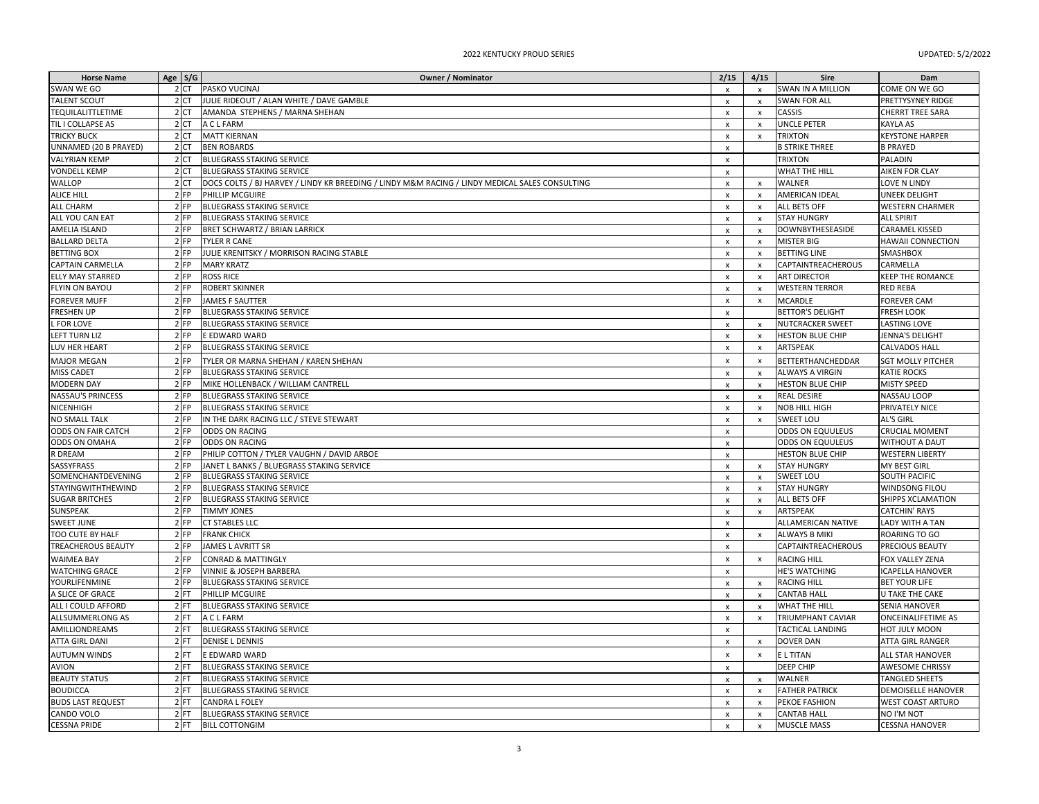| <b>Horse Name</b>         | Age S/G         | Owner / Nominator                                                                              | 2/15                      | 4/15                      | Sire                      | Dam                       |
|---------------------------|-----------------|------------------------------------------------------------------------------------------------|---------------------------|---------------------------|---------------------------|---------------------------|
| SWAN WE GO                | 2 CT            | PASKO VUCINAJ                                                                                  | $\pmb{\chi}$              | $\mathsf{x}$              | SWAN IN A MILLION         | COME ON WE GO             |
| <b>TALENT SCOUT</b>       | 2 CT            | JULIE RIDEOUT / ALAN WHITE / DAVE GAMBLE                                                       | X                         | $\boldsymbol{\mathsf{x}}$ | <b>SWAN FOR ALL</b>       | PRETTYSYNEY RIDGE         |
| TEQUILALITTLETIME         | 2 CT            | AMANDA STEPHENS / MARNA SHEHAN                                                                 | $\mathsf{x}$              | $\mathsf{x}$              | CASSIS                    | <b>CHERRT TREE SARA</b>   |
| TIL I COLLAPSE AS         | 2 CT            | A C L FARM                                                                                     | $\mathsf{x}$              | $\pmb{\times}$            | <b>UNCLE PETER</b>        | <b>KAYLA AS</b>           |
| <b>TRICKY BUCK</b>        | 2 CT            | <b>MATT KIERNAN</b>                                                                            | $\boldsymbol{\mathsf{x}}$ | $\boldsymbol{\mathsf{x}}$ | <b>TRIXTON</b>            | <b>KEYSTONE HARPER</b>    |
| UNNAMED (20 B PRAYED)     | 2 CT            | <b>BEN ROBARDS</b>                                                                             | $\pmb{\mathsf{x}}$        |                           | <b>B STRIKE THREE</b>     | <b>B PRAYED</b>           |
| <b>VALYRIAN KEMP</b>      | 2 CT            | <b>BLUEGRASS STAKING SERVICE</b>                                                               | $\pmb{\mathsf{x}}$        |                           | <b>TRIXTON</b>            | PALADIN                   |
| <b>VONDELL KEMP</b>       | 2 CT            | BLUEGRASS STAKING SERVICE                                                                      | $\pmb{\mathsf{x}}$        |                           | WHAT THE HILL             | <b>AIKEN FOR CLAY</b>     |
| WALLOP                    | 2 CT            | DOCS COLTS / BJ HARVEY / LINDY KR BREEDING / LINDY M&M RACING / LINDY MEDICAL SALES CONSULTING | x                         | $\mathsf{x}$              | <b>WALNER</b>             | LOVE N LINDY              |
| <b>ALICE HILL</b>         | 2 FP            | PHILLIP MCGUIRE                                                                                | $\pmb{\mathsf{x}}$        | $\pmb{\times}$            | AMERICAN IDEAL            | <b>UNEEK DELIGHT</b>      |
| ALL CHARM                 | 2 FP            | <b>BLUEGRASS STAKING SERVICE</b>                                                               | x                         | $\boldsymbol{\mathsf{x}}$ | ALL BETS OFF              | <b>WESTERN CHARMER</b>    |
| ALL YOU CAN EAT           | 2 <sub>FP</sub> | <b>BLUEGRASS STAKING SERVICE</b>                                                               | $\pmb{\mathsf{x}}$        | $\mathsf{x}$              | <b>STAY HUNGRY</b>        | <b>ALL SPIRIT</b>         |
| AMELIA ISLAND             | 2 FP            | BRET SCHWARTZ / BRIAN LARRICK                                                                  | $\pmb{\mathsf{x}}$        | $\pmb{\mathsf{x}}$        | DOWNBYTHESEASIDE          | CARAMEL KISSED            |
| <b>BALLARD DELTA</b>      | 2 FP            | <b>TYLER R CANE</b>                                                                            | x                         | $\boldsymbol{\mathsf{x}}$ | <b>MISTER BIG</b>         | <b>HAWAII CONNECTION</b>  |
| <b>BETTING BOX</b>        | 2 FP            | JULIE KRENITSKY / MORRISON RACING STABLE                                                       | $\mathsf{x}$              | $\mathsf{x}$              | <b>BETTING LINE</b>       | SMASHBOX                  |
| CAPTAIN CARMELLA          | 2 FP            | <b>MARY KRATZ</b>                                                                              | $\pmb{\mathsf{x}}$        | $\boldsymbol{\mathsf{x}}$ | CAPTAINTREACHEROUS        | CARMELLA                  |
| <b>ELLY MAY STARRED</b>   | 2 FP            | ROSS RICE                                                                                      | x                         | $\boldsymbol{\mathsf{x}}$ | ART DIRECTOR              | <b>KEEP THE ROMANCE</b>   |
| FLYIN ON BAYOU            | 2 FP            | <b>ROBERT SKINNER</b>                                                                          | $\pmb{\mathsf{x}}$        | $\pmb{\times}$            | <b>WESTERN TERROR</b>     | <b>RED REBA</b>           |
| <b>FOREVER MUFF</b>       | 2 FP            | <b>JAMES F SAUTTER</b>                                                                         | x                         | $\boldsymbol{\mathsf{x}}$ | <b>MCARDLE</b>            | <b>FOREVER CAM</b>        |
| FRESHEN UP                | 2 FP            | BLUEGRASS STAKING SERVICE                                                                      | $\pmb{\chi}$              |                           | <b>BETTOR'S DELIGHT</b>   | <b>FRESH LOOK</b>         |
| L FOR LOVE                | 2 FP            | BLUEGRASS STAKING SERVICE                                                                      | x                         | $\mathbf{x}$              | <b>NUTCRACKER SWEET</b>   | <b>LASTING LOVE</b>       |
| <b>LEFT TURN LIZ</b>      | 2 FP            | E EDWARD WARD                                                                                  | $\boldsymbol{\mathsf{x}}$ | $\mathsf{x}$              | <b>HESTON BLUE CHIP</b>   | JENNA'S DELIGHT           |
| LUV HER HEART             | 2 FP            | BLUEGRASS STAKING SERVICE                                                                      | $\pmb{\chi}$              | $\mathsf{x}$              | ARTSPEAK                  | <b>CALVADOS HALL</b>      |
| <b>MAJOR MEGAN</b>        | 2 FP            | TYLER OR MARNA SHEHAN / KAREN SHEHAN                                                           | $\pmb{\mathsf{x}}$        | $\mathsf{x}$              | BETTERTHANCHEDDAR         | <b>SGT MOLLY PITCHER</b>  |
| MISS CADET                | 2 FP            | <b>BLUEGRASS STAKING SERVICE</b>                                                               | $\mathbf{x}$              | $\mathbf{x}$              | ALWAYS A VIRGIN           | <b>KATIE ROCKS</b>        |
| <b>MODERN DAY</b>         | 2 FP            | MIKE HOLLENBACK / WILLIAM CANTRELL                                                             | $\pmb{\mathsf{x}}$        | $\pmb{\times}$            | <b>HESTON BLUE CHIP</b>   | <b>MISTY SPEED</b>        |
| NASSAU'S PRINCESS         | 2 FP            | BLUEGRASS STAKING SERVICE                                                                      | $\pmb{\chi}$              | $\pmb{\times}$            | REAL DESIRE               | NASSAU LOOP               |
| NICENHIGH                 | 2 FP            | <b>BLUEGRASS STAKING SERVICE</b>                                                               | $\mathbf{x}$              | $\mathsf{x}$              | NOB HILL HIGH             | PRIVATELY NICE            |
| <b>NO SMALL TALK</b>      | 2 FP            | IN THE DARK RACING LLC / STEVE STEWART                                                         | x                         | $\boldsymbol{\mathsf{x}}$ | SWEET LOU                 | AL'S GIRL                 |
| <b>ODDS ON FAIR CATCH</b> | 2 FP            | <b>ODDS ON RACING</b>                                                                          | $\pmb{\chi}$              |                           | <b>ODDS ON EQUULEUS</b>   | <b>CRUCIAL MOMENT</b>     |
| ODDS ON OMAHA             | 2 FP            | ODDS ON RACING                                                                                 | $\boldsymbol{\mathsf{x}}$ |                           | <b>ODDS ON EQUULEUS</b>   | WITHOUT A DAUT            |
| R DREAM                   | 2 FP            | PHILIP COTTON / TYLER VAUGHN / DAVID ARBOE                                                     | x                         |                           | <b>HESTON BLUE CHIP</b>   | <b>WESTERN LIBERTY</b>    |
| SASSYFRASS                | 2 FP            | JANET L BANKS / BLUEGRASS STAKING SERVICE                                                      | $\pmb{\times}$            | $\mathsf{x}$              | <b>STAY HUNGRY</b>        | MY BEST GIRL              |
| SOMENCHANTDEVENING        | $2$ FP          | <b>BLUEGRASS STAKING SERVICE</b>                                                               | $\mathbf{x}$              | $\mathsf{x}$              | SWEET LOU                 | SOUTH PACIFIC             |
| <b>STAYINGWITHTHEWIND</b> | 2 FP            | <b>BLUEGRASS STAKING SERVICE</b>                                                               | $\pmb{\chi}$              | $\boldsymbol{\mathsf{x}}$ | <b>STAY HUNGRY</b>        | WINDSONG FILOU            |
| <b>SUGAR BRITCHES</b>     | 2 FP            | <b>BLUEGRASS STAKING SERVICE</b>                                                               | $\boldsymbol{\mathsf{x}}$ | $\mathsf{x}$              | ALL BETS OFF              | SHIPPS XCLAMATION         |
| SUNSPEAK                  | 2 FP            | <b>TIMMY JONES</b>                                                                             | x                         | $\pmb{\times}$            | ARTSPEAK                  | <b>CATCHIN' RAYS</b>      |
| <b>SWEET JUNE</b>         | 2 FP            | <b>CT STABLES LLC</b>                                                                          | $\mathsf{x}$              |                           | ALLAMERICAN NATIVE        | LADY WITH A TAN           |
| TOO CUTE BY HALF          | 2 FP            | <b>FRANK CHICK</b>                                                                             | $\pmb{\times}$            | $\mathsf{x}$              | <b>ALWAYS B MIKI</b>      | ROARING TO GO             |
| TREACHEROUS BEAUTY        | 2 FP            | JAMES L AVRITT SR                                                                              | x                         |                           | <b>CAPTAINTREACHEROUS</b> | PRECIOUS BEAUTY           |
| <b>WAIMEA BAY</b>         | 2 FP            | CONRAD & MATTINGLY                                                                             | $\pmb{\times}$            | $\boldsymbol{\mathsf{x}}$ | <b>RACING HILL</b>        | FOX VALLEY ZENA           |
| <b>WATCHING GRACE</b>     | 2 FP            | VINNIE & JOSEPH BARBERA                                                                        | $\pmb{\chi}$              |                           | HE'S WATCHING             | <b>ICAPELLA HANOVER</b>   |
| YOURLIFENMINE             | 2 FP            | BLUEGRASS STAKING SERVICE                                                                      | x                         | $\pmb{\times}$            | <b>RACING HILL</b>        | <b>BET YOUR LIFE</b>      |
| A SLICE OF GRACE          | 2FT             | PHILLIP MCGUIRE                                                                                | $\mathsf{x}$              | $\pmb{\mathsf{x}}$        | <b>CANTAB HALL</b>        | U TAKE THE CAKE           |
| ALL I COULD AFFORD        | 2 FT            | <b>BLUEGRASS STAKING SERVICE</b>                                                               | $\pmb{\mathsf{x}}$        | $\pmb{\mathsf{x}}$        | WHAT THE HILL             | <b>SENIA HANOVER</b>      |
| ALLSUMMERLONG AS          | $2$ FT          | A C L FARM                                                                                     | х                         | $\boldsymbol{\mathsf{x}}$ | TRIUMPHANT CAVIAR         | <b>ONCEINALIFETIME AS</b> |
| AMILLIONDREAMS            | $2$ FT          | <b>BLUEGRASS STAKING SERVICE</b>                                                               | $\boldsymbol{\mathsf{x}}$ |                           | <b>TACTICAL LANDING</b>   | HOT JULY MOON             |
| ATTA GIRL DANI            | 2 FT            | <b>DENISE L DENNIS</b>                                                                         | $\pmb{\mathsf{x}}$        | $\boldsymbol{\mathsf{x}}$ | DOVER DAN                 | ATTA GIRL RANGER          |
| <b>AUTUMN WINDS</b>       | $2$ FT          | E EDWARD WARD                                                                                  | $\mathsf{x}$              | $\boldsymbol{\mathsf{x}}$ | E L TITAN                 | ALL STAR HANOVER          |
| AVION                     | $2$ FT          | <b>BLUEGRASS STAKING SERVICE</b>                                                               | $\pmb{\chi}$              |                           | DEEP CHIP                 | <b>AWESOME CHRISSY</b>    |
| <b>BEAUTY STATUS</b>      | $2$ FT          | BLUEGRASS STAKING SERVICE                                                                      | X                         | $\mathbf{x}$              | <b>WALNER</b>             | <b>TANGLED SHEETS</b>     |
| <b>BOUDICCA</b>           | 2FT             | <b>BLUEGRASS STAKING SERVICE</b>                                                               | $\boldsymbol{\mathsf{x}}$ | $\pmb{\mathsf{x}}$        | <b>FATHER PATRICK</b>     | <b>DEMOISELLE HANOVER</b> |
| <b>BUDS LAST REQUEST</b>  | $2$ FT          | CANDRA L FOLEY                                                                                 | $\mathsf{x}$              | $\mathsf{x}$              | PEKOE FASHION             | <b>WEST COAST ARTURO</b>  |
| CANDO VOLO                | 2 FT            | BLUEGRASS STAKING SERVICE                                                                      | x                         | $\mathsf{x}$              | <b>CANTAB HALL</b>        | NO I'M NOT                |
| <b>CESSNA PRIDE</b>       | $2$ FT          | <b>BILL COTTONGIM</b>                                                                          | $\mathsf{x}$              | $\mathsf{x}$              | <b>MUSCLE MASS</b>        | <b>CESSNA HANOVER</b>     |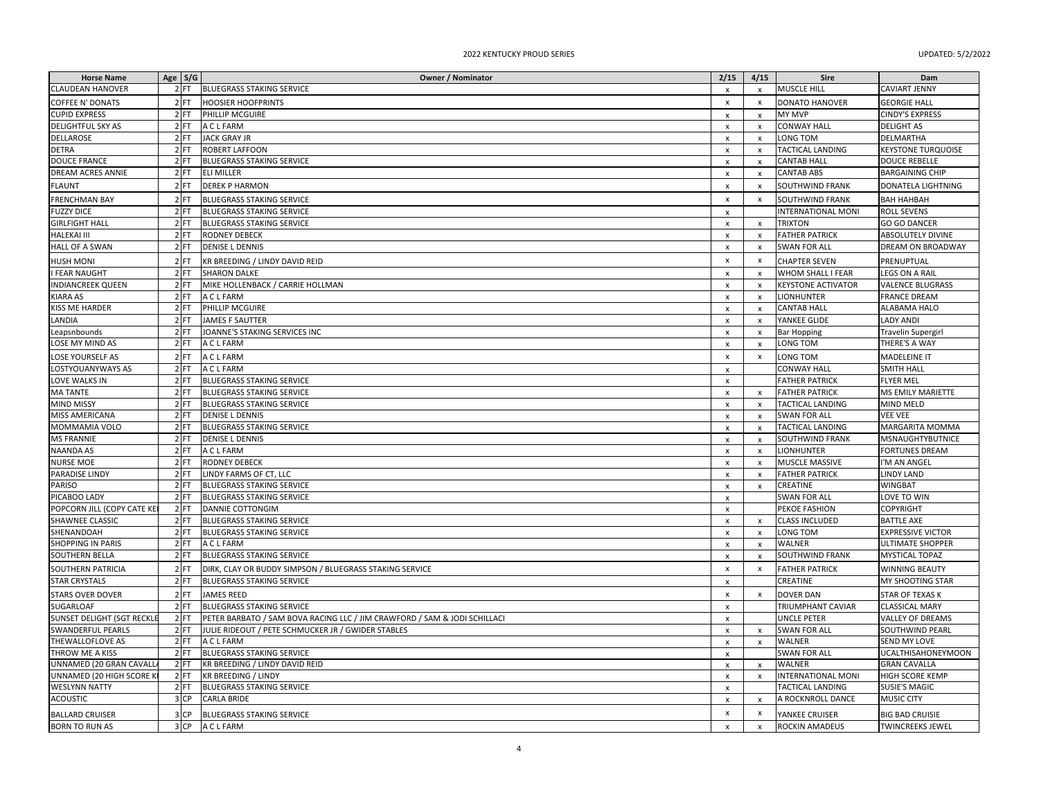| <b>Horse Name</b>           | Age $S/G$ | Owner / Nominator                                                         | 2/15                      | 4/15                      | Sire                      | Dam                       |
|-----------------------------|-----------|---------------------------------------------------------------------------|---------------------------|---------------------------|---------------------------|---------------------------|
| <b>CLAUDEAN HANOVER</b>     | $2$ FT    | <b>BLUEGRASS STAKING SERVICE</b>                                          | $\pmb{\chi}$              | $\boldsymbol{\mathsf{x}}$ | <b>MUSCLE HILL</b>        | CAVIART JENNY             |
| <b>COFFEE N' DONATS</b>     | $2$ FT    | <b>HOOSIER HOOFPRINTS</b>                                                 | $\pmb{\times}$            | x                         | DONATO HANOVER            | <b>GEORGIE HALL</b>       |
| <b>CUPID EXPRESS</b>        | $2$ FT    | PHILLIP MCGUIRE                                                           | $\mathsf{x}$              | $\mathsf{x}$              | <b>MY MVP</b>             | CINDY'S EXPRESS           |
| DELIGHTFUL SKY AS           | $2$ FT    | A C L FARM                                                                | X                         | $\mathbf{x}$              | <b>CONWAY HALL</b>        | <b>DELIGHT AS</b>         |
| <b>DELLAROSE</b>            | $2$ FT    | <b>JACK GRAY JR</b>                                                       | $\pmb{\chi}$              | $\mathsf{x}$              | LONG TOM                  | DELMARTHA                 |
| <b>DETRA</b>                | $2$ FT    | <b>ROBERT LAFFOON</b>                                                     | $\mathsf{x}$              | $\mathsf{x}$              | TACTICAL LANDING          | <b>KEYSTONE TURQUOISE</b> |
| <b>DOUCE FRANCE</b>         | $2$ FT    | BLUEGRASS STAKING SERVICE                                                 | $\boldsymbol{\mathsf{x}}$ | $\boldsymbol{\mathsf{x}}$ | <b>CANTAB HALL</b>        | <b>DOUCE REBELLE</b>      |
| DREAM ACRES ANNIE           | $2$ FT    | <b>ELI MILLER</b>                                                         | $\boldsymbol{\mathsf{x}}$ |                           | <b>CANTAB ABS</b>         | <b>BARGAINING CHIP</b>    |
| <b>FLAUNT</b>               | 2FT       | <b>DEREK P HARMON</b>                                                     | $\pmb{\times}$            | $\boldsymbol{\mathsf{x}}$ | SOUTHWIND FRANK           | DONATELA LIGHTNING        |
| <b>FRENCHMAN BAY</b>        | $2$ FT    | <b>BLUEGRASS STAKING SERVICE</b>                                          | $\pmb{\times}$            | $\pmb{\mathsf{x}}$        | <b>SOUTHWIND FRANK</b>    | ВАН НАНВАН                |
| <b>FUZZY DICE</b>           | $2$ FT    | <b>BLUEGRASS STAKING SERVICE</b>                                          | $\pmb{\mathsf{x}}$        |                           | <b>INTERNATIONAL MONI</b> | <b>ROLL SEVENS</b>        |
| <b>GIRLFIGHT HALL</b>       | 2 FT      | <b>BLUEGRASS STAKING SERVICE</b>                                          | $\boldsymbol{\mathsf{x}}$ | X                         | <b>TRIXTON</b>            | <b>GO GO DANCER</b>       |
| <b>HALEKAI III</b>          | $2$ FT    | <b>RODNEY DEBECK</b>                                                      | $\mathsf{x}$              | $\mathsf{x}$              | <b>FATHER PATRICK</b>     | <b>ABSOLUTELY DIVINE</b>  |
| HALL OF A SWAN              | $2$ FT    | <b>DENISE L DENNIS</b>                                                    | $\pmb{\chi}$              | $\mathbf{x}$              | <b>SWAN FOR ALL</b>       | DREAM ON BROADWAY         |
|                             |           |                                                                           |                           | $\mathbf{x}$              |                           |                           |
| <b>HUSH MONI</b>            | $2$ FT    | KR BREEDING / LINDY DAVID REID                                            | $\pmb{\times}$            |                           | <b>CHAPTER SEVEN</b>      | PRENUPTUAL                |
| <b>I FEAR NAUGHT</b>        | $2$ FT    | <b>SHARON DALKE</b>                                                       | $\pmb{\chi}$              | $\pmb{\chi}$              | WHOM SHALL I FEAR         | <b>LEGS ON A RAIL</b>     |
| <b>INDIANCREEK QUEEN</b>    | 2 FT      | MIKE HOLLENBACK / CARRIE HOLLMAN                                          | $\boldsymbol{\mathsf{x}}$ | $\mathsf{x}$              | <b>KEYSTONE ACTIVATOR</b> | <b>VALENCE BLUGRASS</b>   |
| KIARA AS                    | $2$ FT    | A C L FARM                                                                | $\mathsf{x}$              | $\mathsf{x}$              | <b>LIONHUNTER</b>         | <b>FRANCE DREAM</b>       |
| KISS ME HARDER              | $2$ FT    | PHILLIP MCGUIRE                                                           | $\pmb{\times}$            | $\pmb{\chi}$              | <b>CANTAB HALL</b>        | ALABAMA HALO              |
| LANDIA                      | 2 FT      | <b>JAMES F SAUTTER</b>                                                    | $\boldsymbol{\mathsf{x}}$ | $\mathbf{x}$              | YANKEE GLIDE              | <b>LADY ANDI</b>          |
| Leapsnbounds                | $2$ FT    | JOANNE'S STAKING SERVICES INC                                             | $\pmb{\chi}$              | x                         | <b>Bar Hopping</b>        | Travelin Supergirl        |
| LOSE MY MIND AS             | $2$ FT    | A C L FARM                                                                | $\pmb{\times}$            | $\pmb{\times}$            | LONG TOM                  | THERE'S A WAY             |
| LOSE YOURSELF AS            | $2$ FT    | A C L FARM                                                                | $\pmb{\times}$            | $\pmb{\chi}$              | LONG TOM                  | MADELEINE IT              |
| LOSTYOUANYWAYS AS           | $2$ FT    | A C L FARM                                                                | $\mathsf{x}$              |                           | <b>CONWAY HALL</b>        | <b>SMITH HALL</b>         |
| LOVE WALKS IN               | $2$ FT    | <b>BLUEGRASS STAKING SERVICE</b>                                          | $\boldsymbol{\mathsf{x}}$ |                           | <b>FATHER PATRICK</b>     | <b>FLYER MEL</b>          |
| <b>MA TANTE</b>             | $2$ FT    | <b>BLUEGRASS STAKING SERVICE</b>                                          | $\mathsf{x}$              |                           | <b>FATHER PATRICK</b>     | <b>MS EMILY MARIETTE</b>  |
| <b>MIND MISSY</b>           | $2$ FT    | BLUEGRASS STAKING SERVICE                                                 | $\boldsymbol{\mathsf{x}}$ | $\mathsf{x}$              | <b>TACTICAL LANDING</b>   | MIND MELD                 |
| MISS AMERICANA              | $2$ FT    | <b>DENISE L DENNIS</b>                                                    | $\boldsymbol{\mathsf{x}}$ | $\boldsymbol{\mathsf{x}}$ | <b>SWAN FOR ALL</b>       | <b>VEE VEE</b>            |
| MOMMAMIA VOLO               | $2$ FT    | <b>BLUEGRASS STAKING SERVICE</b>                                          | $\pmb{\chi}$              | $\boldsymbol{\mathsf{x}}$ | <b>TACTICAL LANDING</b>   | MARGARITA MOMMA           |
| <b>MS FRANNIE</b>           | $2$ FT    | <b>DENISE L DENNIS</b>                                                    | $\boldsymbol{\mathsf{x}}$ | $\boldsymbol{\mathsf{x}}$ | <b>SOUTHWIND FRANK</b>    | <b>MSNAUGHTYBUTNICE</b>   |
| <b>NAANDA AS</b>            | $2$ FT    | A C L FARM                                                                | $\pmb{\times}$            | $\mathsf{x}$              | <b>LIONHUNTER</b>         | <b>FORTUNES DREAM</b>     |
| <b>NURSE MOE</b>            | $2$ FT    | <b>RODNEY DEBECK</b>                                                      | $\pmb{\chi}$              | $\boldsymbol{\mathsf{x}}$ | <b>MUSCLE MASSIVE</b>     | I'M AN ANGEI              |
| <b>PARADISE LINDY</b>       | $2$ FT    | LINDY FARMS OF CT, LLC                                                    | $\boldsymbol{\mathsf{x}}$ | $\boldsymbol{\mathsf{x}}$ | <b>FATHER PATRICK</b>     | <b>LINDY LAND</b>         |
| PARISO                      | $2$ FT    | <b>BLUEGRASS STAKING SERVICE</b>                                          | $\boldsymbol{\mathsf{x}}$ | $\pmb{\times}$            | CREATINE                  | <b>WINGBAT</b>            |
| PICABOO LADY                | $2$ FT    | <b>BLUEGRASS STAKING SERVICE</b>                                          | $\pmb{\chi}$              |                           | <b>SWAN FOR ALL</b>       | LOVE TO WIN               |
| POPCORN JILL (COPY CATE KEI | $2$ FT    | DANNIE COTTONGIM                                                          | $\pmb{\times}$            |                           | PEKOE FASHION             | COPYRIGHT                 |
| SHAWNEE CLASSIC             | 2FT       | <b>BLUEGRASS STAKING SERVICE</b>                                          | $\pmb{\chi}$              | $\boldsymbol{\mathsf{x}}$ | <b>CLASS INCLUDED</b>     | <b>BATTLE AXE</b>         |
| SHENANDOAH                  | $2$ FT    | <b>BLUEGRASS STAKING SERVICE</b>                                          | $\pmb{\mathsf{x}}$        | $\pmb{\chi}$              | LONG TOM                  | <b>EXPRESSIVE VICTOR</b>  |
| <b>SHOPPING IN PARIS</b>    | $2$ FT    | A C L FARM                                                                | $\boldsymbol{\mathsf{x}}$ | $\boldsymbol{\mathsf{x}}$ | <b>WALNER</b>             | <b>ULTIMATE SHOPPER</b>   |
| SOUTHERN BELLA              | $2$ FT    | <b>BLUEGRASS STAKING SERVICE</b>                                          | $\mathsf{x}$              | $\pmb{\mathsf{x}}$        | SOUTHWIND FRANK           | MYSTICAL TOPAZ            |
| SOUTHERN PATRICIA           | $2$ FT    | DIRK, CLAY OR BUDDY SIMPSON / BLUEGRASS STAKING SERVICE                   | $\pmb{\chi}$              | x                         | <b>FATHER PATRICK</b>     | <b>WINNING BEAUTY</b>     |
| <b>STAR CRYSTALS</b>        | $2$ FT    | <b>BLUEGRASS STAKING SERVICE</b>                                          | $\boldsymbol{\mathsf{x}}$ |                           | CREATINE                  | MY SHOOTING STAR          |
| <b>STARS OVER DOVER</b>     | $2$ FT    | <b>JAMES REED</b>                                                         | X                         | x                         | <b>DOVER DAN</b>          | STAR OF TEXAS K           |
| SUGARLOAF                   | $2$ FT    | BLUEGRASS STAKING SERVICE                                                 | $\pmb{\times}$            |                           | TRIUMPHANT CAVIAR         | <b>CLASSICAL MARY</b>     |
| SUNSET DELIGHT (SGT RECKLE  | 2 FT      | PETER BARBATO / SAM BOVA RACING LLC / JIM CRAWFORD / SAM & JODI SCHILLACI | $\boldsymbol{\mathsf{x}}$ |                           | <b>UNCLE PETER</b>        | VALLEY OF DREAMS          |
| SWANDERFUL PEARLS           | $2$ FT    | JULIE RIDEOUT / PETE SCHMUCKER JR / GWIDER STABLES                        | $\pmb{\chi}$              | x                         | <b>SWAN FOR ALL</b>       | SOUTHWIND PEARL           |
| THEWALLOFLOVE AS            | $2$ FT    | A C L FARM                                                                | $\mathsf{x}$              | $\mathsf{x}$              | <b>WALNER</b>             | SEND MY LOVE              |
| THROW ME A KISS             | $2$ FT    | <b>BLUEGRASS STAKING SERVICE</b>                                          | $\boldsymbol{\mathsf{x}}$ |                           | <b>SWAN FOR ALL</b>       | <b>UCALTHISAHONEYMOON</b> |
| UNNAMED (20 GRAN CAVALL)    | $2$ FT    | KR BREEDING / LINDY DAVID REID                                            | $\pmb{\chi}$              | $\boldsymbol{\mathsf{x}}$ | <b>WALNER</b>             | <b>GRAN CAVALLA</b>       |
| UNNAMED (20 HIGH SCORE K    | $2$ FT    | <b>KR BREEDING / LINDY</b>                                                | $\boldsymbol{\mathsf{x}}$ | $\boldsymbol{\mathsf{x}}$ | INTERNATIONAL MONI        | <b>HIGH SCORE KEMP</b>    |
| <b>WESLYNN NATTY</b>        | $2$ FT    | BLUEGRASS STAKING SERVICE                                                 | $\boldsymbol{\mathsf{x}}$ |                           | <b>TACTICAL LANDING</b>   | <b>SUSIE'S MAGIC</b>      |
| <b>ACOUSTIC</b>             | 3 CP      | <b>CARLA BRIDE</b>                                                        | $\pmb{\mathsf{x}}$        | $\mathsf{x}$              | A ROCKNROLL DANCE         | <b>MUSIC CITY</b>         |
| <b>BALLARD CRUISER</b>      | 3 CP      | BLUEGRASS STAKING SERVICE                                                 | $\boldsymbol{\mathsf{x}}$ | x                         | YANKEE CRUISER            | <b>BIG BAD CRUISIE</b>    |
| <b>BORN TO RUN AS</b>       | 3 CP      | A C L FARM                                                                | $\mathsf{x}$              | $\mathsf{x}$              | <b>ROCKIN AMADEUS</b>     | <b>TWINCREEKS JEWEL</b>   |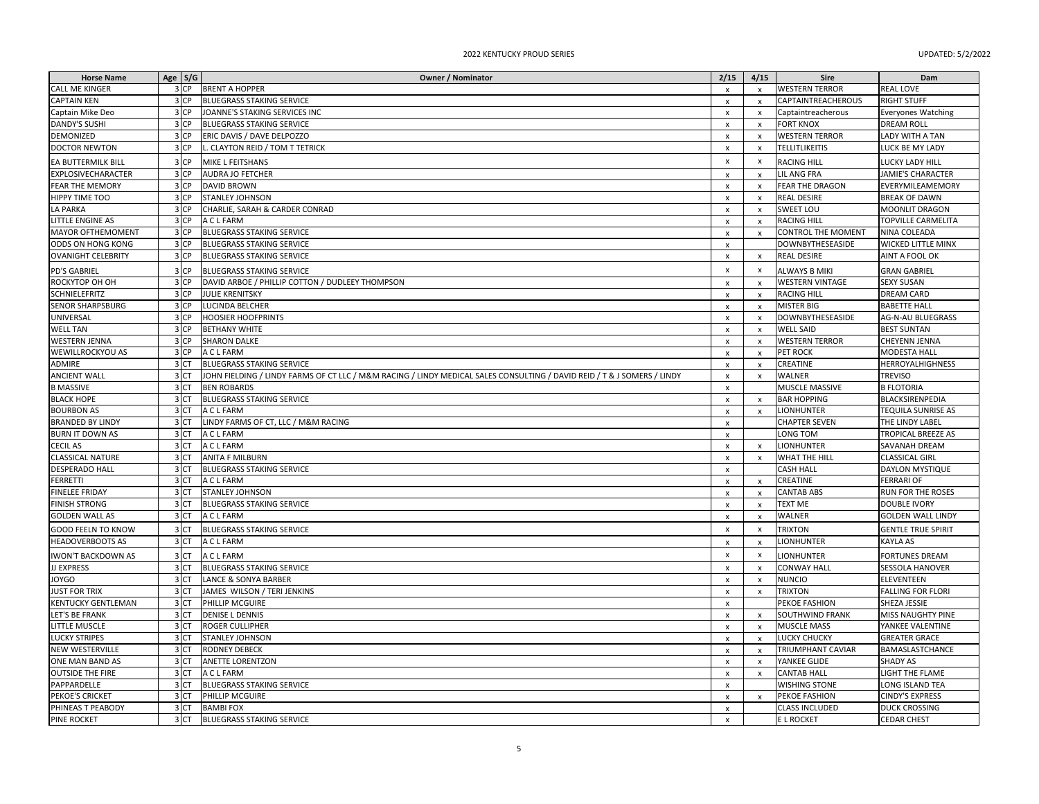| <b>Horse Name</b>         | Age $S/G$       | <b>Owner / Nominator</b>                                                                                                | 2/15                      | 4/15                      | <b>Sire</b>               | Dam                       |
|---------------------------|-----------------|-------------------------------------------------------------------------------------------------------------------------|---------------------------|---------------------------|---------------------------|---------------------------|
| CALL ME KINGER            | 3 CP            | <b>BRENT A HOPPER</b>                                                                                                   | $\boldsymbol{\mathsf{x}}$ | $\mathbf{x}$              | <b>WESTERN TERROR</b>     | REAL LOVE                 |
| <b>CAPTAIN KEN</b>        | 3 CP            | <b>BLUEGRASS STAKING SERVICE</b>                                                                                        | $\mathsf{x}$              | $\boldsymbol{\mathsf{x}}$ | CAPTAINTREACHEROUS        | RIGHT STUFF               |
| Captain Mike Deo          | 3 CP            | JOANNE'S STAKING SERVICES INC                                                                                           | $\boldsymbol{\mathsf{x}}$ | x                         | Captaintreacherous        | Everyones Watching        |
| DANDY'S SUSHI             | 3 CP            | <b>BLUEGRASS STAKING SERVICE</b>                                                                                        | $\boldsymbol{\mathsf{x}}$ | $\boldsymbol{\mathsf{x}}$ | <b>FORT KNOX</b>          | DREAM ROLL                |
| DEMONIZED                 | 3 CP            | ERIC DAVIS / DAVE DELPOZZO                                                                                              | $\pmb{\times}$            | $\pmb{\times}$            | <b>WESTERN TERROR</b>     | LADY WITH A TAN           |
| DOCTOR NEWTON             | 3 CP            | . CLAYTON REID / TOM T TETRICK                                                                                          | $\boldsymbol{\mathsf{x}}$ | $\boldsymbol{\mathsf{x}}$ | <b>TELLITLIKEITIS</b>     | LUCK BE MY LADY           |
| EA BUTTERMILK BILL        | 3 CP            | MIKE L FEITSHANS                                                                                                        | $\boldsymbol{\mathsf{x}}$ | $\boldsymbol{\mathsf{x}}$ | RACING HILL               | LUCKY LADY HILL           |
| EXPLOSIVECHARACTER        | 3 CP            | AUDRA JO FETCHER                                                                                                        | $\boldsymbol{\mathsf{x}}$ | $\boldsymbol{\mathsf{x}}$ | LIL ANG FRA               | JAMIE'S CHARACTER         |
| <b>FEAR THE MEMORY</b>    | 3 CP            | DAVID BROWN                                                                                                             | $\boldsymbol{\mathsf{x}}$ | $\pmb{\chi}$              | FEAR THE DRAGON           | EVERYMILEAMEMORY          |
| HIPPY TIME TOO            | 3 CP            | STANLEY JOHNSON                                                                                                         | $\pmb{\chi}$              | $\pmb{\times}$            | REAL DESIRE               | <b>BREAK OF DAWN</b>      |
| LA PARKA                  | 3 CP            | CHARLIE, SARAH & CARDER CONRAD                                                                                          | $\boldsymbol{\mathsf{x}}$ | $\mathbf{x}$              | SWEET LOU                 | MOONLIT DRAGON            |
| LITTLE ENGINE AS          | 3 CP            | A C L FARM                                                                                                              | $\mathsf{x}$              | $\mathsf{x}$              | <b>RACING HILL</b>        | TOPVILLE CARMELITA        |
| <b>MAYOR OFTHEMOMENT</b>  | 3 CP            | BLUEGRASS STAKING SERVICE                                                                                               | $\pmb{\chi}$              | $\mathsf{x}$              | <b>CONTROL THE MOMENT</b> | NINA COLEADA              |
| ODDS ON HONG KONG         | 3 CP            | <b>BLUEGRASS STAKING SERVICE</b>                                                                                        | $\mathbf{x}$              |                           | DOWNBYTHESEASIDE          | WICKED LITTLE MINX        |
| <b>OVANIGHT CELEBRITY</b> | 3 CP            | BLUEGRASS STAKING SERVICE                                                                                               | $\boldsymbol{\mathsf{x}}$ | $\boldsymbol{\mathsf{x}}$ | REAL DESIRE               | AINT A FOOL OK            |
| PD'S GABRIEL              | 3 CP            | <b>BLUEGRASS STAKING SERVICE</b>                                                                                        | $\boldsymbol{\mathsf{x}}$ | $\mathbf{x}$              | ALWAYS B MIKI             | <b>GRAN GABRIEL</b>       |
| ROCKYTOP OH OH            | 3 CP            | DAVID ARBOE / PHILLIP COTTON / DUDLEEY THOMPSON                                                                         | $\mathsf{x}$              | $\boldsymbol{\mathsf{x}}$ | <b>WESTERN VINTAGE</b>    | <b>SEXY SUSAN</b>         |
| SCHNIELEFRITZ             | 3 CP            | <b>JULIE KRENITSKY</b>                                                                                                  | $\pmb{\times}$            | $\boldsymbol{\mathsf{x}}$ | RACING HILL               | DREAM CARD                |
| SENOR SHARPSBURG          | 3 CP            | LUCINDA BELCHER                                                                                                         | $\boldsymbol{\mathsf{x}}$ | $\boldsymbol{\mathsf{x}}$ | MISTER BIG                | <b>BABETTE HALL</b>       |
| UNIVERSAL                 | 3 CP            | <b>HOOSIER HOOFPRINTS</b>                                                                                               | $\boldsymbol{\mathsf{x}}$ | $\boldsymbol{\mathsf{x}}$ | DOWNBYTHESEASIDE          | AG-N-AU BLUEGRASS         |
| <b>WELL TAN</b>           | 3 CP            | <b>BETHANY WHITE</b>                                                                                                    | $\pmb{\chi}$              | $\pmb{\chi}$              | <b>WELL SAID</b>          | <b>BEST SUNTAN</b>        |
| <b>WESTERN JENNA</b>      | 3 CP            | <b>SHARON DALKE</b>                                                                                                     | $\boldsymbol{\mathsf{x}}$ | X                         | <b>WESTERN TERROR</b>     | CHEYENN JENNA             |
| WEWILLROCKYOU AS          | 3 CP            | A C L FARM                                                                                                              | $\mathsf{x}$              | $\boldsymbol{\mathsf{x}}$ | PET ROCK                  | MODESTA HALL              |
| ADMIRE                    | 3 CT            | BLUEGRASS STAKING SERVICE                                                                                               | $\mathsf{x}$              | $\mathsf{x}$              | CREATINE                  | HERROYALHIGHNESS          |
| <b>ANCIENT WALL</b>       | 3 CT            | JOHN FIELDING / LINDY FARMS OF CT LLC / M&M RACING / LINDY MEDICAL SALES CONSULTING / DAVID REID / T & J SOMERS / LINDY | $\boldsymbol{\mathsf{x}}$ | x                         | WALNER                    | <b>TREVISO</b>            |
| <b>B MASSIVE</b>          | 3 CT            | <b>BEN ROBARDS</b>                                                                                                      | $\mathsf{x}$              |                           | MUSCLE MASSIVE            | <b>B FLOTORIA</b>         |
| <b>BLACK HOPE</b>         | 3 CT            | BLUEGRASS STAKING SERVICE                                                                                               | $\pmb{\times}$            | $\mathsf{x}$              | <b>BAR HOPPING</b>        | BLACKSIRENPEDIA           |
| <b>BOURBON AS</b>         | 3 CT            | A C L FARM                                                                                                              | $\boldsymbol{\mathsf{x}}$ | x                         | <b>LIONHUNTER</b>         | TEQUILA SUNRISE AS        |
| <b>BRANDED BY LINDY</b>   | 3 CT            | LINDY FARMS OF CT, LLC / M&M RACING                                                                                     | $\pmb{\times}$            |                           | <b>CHAPTER SEVEN</b>      | THE LINDY LABEL           |
| <b>BURN IT DOWN AS</b>    | 3 CT            | A C L FARM                                                                                                              | $\mathsf{x}$              |                           | LONG TOM                  | TROPICAL BREEZE AS        |
| <b>CECIL AS</b>           | 3 CT            | A C L FARM                                                                                                              | $\boldsymbol{\mathsf{x}}$ | x                         | LIONHUNTER                | SAVANAH DREAM             |
| <b>CLASSICAL NATURE</b>   | 3 CT            | <b>ANITA F MILBURN</b>                                                                                                  | $\boldsymbol{\mathsf{x}}$ | $\boldsymbol{\mathsf{x}}$ | <b>WHAT THE HILL</b>      | <b>CLASSICAL GIRL</b>     |
| DESPERADO HALL            | 3 CT            | BLUEGRASS STAKING SERVICE                                                                                               | $\mathbf{x}$              |                           | <b>CASH HALL</b>          | DAYLON MYSTIQUE           |
| FERRETTI                  | 3 CT            | A C L FARM                                                                                                              | $\boldsymbol{\mathsf{x}}$ | x                         | CREATINE                  | <b>FERRARI OF</b>         |
| <b>FINELEE FRIDAY</b>     | 3 CT            | STANLEY JOHNSON                                                                                                         | $\boldsymbol{\mathsf{x}}$ |                           | CANTAB ABS                | RUN FOR THE ROSES         |
| <b>FINISH STRONG</b>      | 3 CT            | BLUEGRASS STAKING SERVICE                                                                                               | $\boldsymbol{\mathsf{x}}$ | $\pmb{\chi}$              | TEXT ME                   | DOUBLE IVORY              |
| <b>GOLDEN WALL AS</b>     | 3 CT            | A C L FARM                                                                                                              | $\boldsymbol{\mathsf{x}}$ | $\boldsymbol{\mathsf{x}}$ | <b>WALNER</b>             | <b>GOLDEN WALL LINDY</b>  |
|                           | 3 CT            |                                                                                                                         |                           |                           |                           |                           |
| GOOD FEELN TO KNOW        |                 | BLUEGRASS STAKING SERVICE                                                                                               | $\boldsymbol{\mathsf{x}}$ | $\boldsymbol{\mathsf{x}}$ | <b>TRIXTON</b>            | <b>GENTLE TRUE SPIRIT</b> |
| HEADOVERBOOTS AS          | 3 CT            | A C L FARM                                                                                                              | $\pmb{\chi}$              | $\boldsymbol{\mathsf{x}}$ | LIONHUNTER                | KAYLA AS                  |
| IWON'T BACKDOWN AS        | 3 CT            | A C L FARM                                                                                                              | $\mathsf{x}$              | $\boldsymbol{\mathsf{x}}$ | LIONHUNTER                | FORTUNES DREAM            |
| JJ EXPRESS                | 3 CT            | <b>BLUEGRASS STAKING SERVICE</b>                                                                                        | $\boldsymbol{\mathsf{x}}$ | $\boldsymbol{\mathsf{x}}$ | <b>CONWAY HALL</b>        | SESSOLA HANOVER           |
| <b>JOYGO</b>              | 3 CT            | LANCE & SONYA BARBER                                                                                                    | $\pmb{\chi}$              | $\pmb{\times}$            | <b>NUNCIO</b>             | ELEVENTEEN                |
| <b>JUST FOR TRIX</b>      | 3 CT            | JAMES WILSON / TERI JENKINS                                                                                             | $\boldsymbol{\mathsf{x}}$ | X                         | <b>TRIXTON</b>            | FALLING FOR FLORI         |
| <b>KENTUCKY GENTLEMAN</b> | 3 CT            | PHILLIP MCGUIRE                                                                                                         | $\pmb{\times}$            |                           | PEKOE FASHION             | SHEZA JESSIE              |
| LET'S BE FRANK            | 3 CT            | <b>DENISE L DENNIS</b>                                                                                                  | $\pmb{\chi}$              | $\boldsymbol{\mathsf{x}}$ | <b>SOUTHWIND FRANK</b>    | MISS NAUGHTY PINE         |
| LITTLE MUSCLE             | 3 CT            | ROGER CULLIPHER                                                                                                         | $\boldsymbol{\mathsf{x}}$ | $\boldsymbol{\mathsf{x}}$ | <b>MUSCLE MASS</b>        | YANKEE VALENTINE          |
| <b>LUCKY STRIPES</b>      | 3 CT            | <b>STANLEY JOHNSON</b>                                                                                                  | $\pmb{\chi}$              | $\boldsymbol{\mathsf{x}}$ | LUCKY CHUCKY              | <b>GREATER GRACE</b>      |
| NEW WESTERVILLE           | 3 CT            | RODNEY DEBECK                                                                                                           | $\boldsymbol{\mathsf{x}}$ | $\boldsymbol{\mathsf{x}}$ | TRIUMPHANT CAVIAR         | BAMASLASTCHANCE           |
| ONE MAN BAND AS           | 3 CT            | ANETTE LORENTZON                                                                                                        | $\boldsymbol{\mathsf{x}}$ | X                         | YANKEE GLIDE              | SHADY AS                  |
| <b>OUTSIDE THE FIRE</b>   | 3 <sub>CT</sub> | A C L FARM                                                                                                              | $\boldsymbol{\mathsf{x}}$ | $\boldsymbol{\mathsf{x}}$ | CANTAB HALL               | LIGHT THE FLAME           |
| PAPPARDELLE               | 3 CT            | BLUEGRASS STAKING SERVICE                                                                                               | $\mathsf{x}$              |                           | <b>WISHING STONE</b>      | LONG ISLAND TEA           |
| PEKOE'S CRICKET           | 3 CT            | PHILLIP MCGUIRE                                                                                                         | $\boldsymbol{\mathsf{x}}$ |                           | PEKOE FASHION             | CINDY'S EXPRESS           |
| PHINEAS T PEABODY         | 3 <sub>CT</sub> | <b>BAMBI FOX</b>                                                                                                        | $\pmb{\chi}$              |                           | <b>CLASS INCLUDED</b>     | <b>DUCK CROSSING</b>      |
| PINE ROCKET               | 3 CT            | <b>BLUEGRASS STAKING SERVICE</b>                                                                                        | $\mathsf{x}$              |                           | E L ROCKET                | <b>CEDAR CHEST</b>        |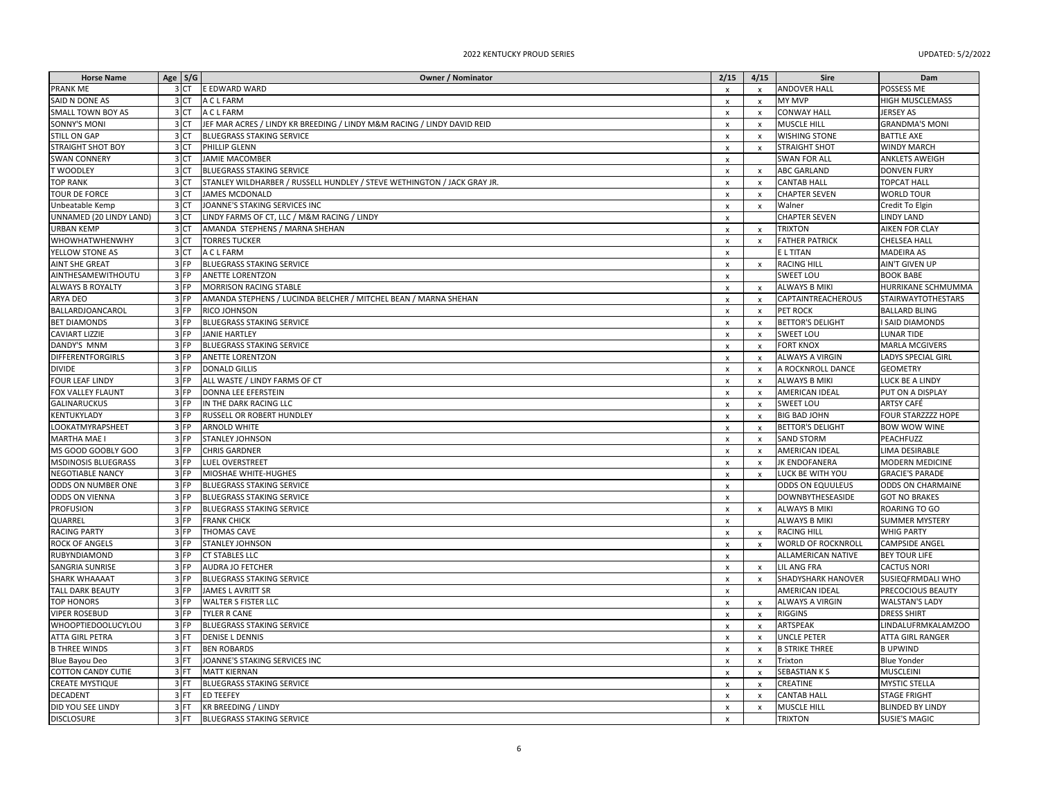| <b>Horse Name</b>          | Age $S/G$ | Owner / Nominator                                                       | 2/15                      | 4/15                      | Sire                    | Dam                       |
|----------------------------|-----------|-------------------------------------------------------------------------|---------------------------|---------------------------|-------------------------|---------------------------|
| PRANK ME                   | 3 CT      | E EDWARD WARD                                                           | $\pmb{\times}$            | $\boldsymbol{\mathsf{x}}$ | <b>ANDOVER HALL</b>     | POSSESS ME                |
| SAID N DONE AS             | 3 CT      | A C L FARM                                                              | $\pmb{\chi}$              | $\pmb{\mathsf{x}}$        | <b>MY MVP</b>           | HIGH MUSCLEMASS           |
| SMALL TOWN BOY AS          | 3 CT      | A C L FARM                                                              | $\boldsymbol{\mathsf{x}}$ | $\mathsf{x}$              | <b>CONWAY HALL</b>      | JERSEY AS                 |
| <b>SONNY'S MONI</b>        | 3 CT      | JEF MAR ACRES / LINDY KR BREEDING / LINDY M&M RACING / LINDY DAVID REID | $\mathbf{x}$              | $\boldsymbol{\mathsf{x}}$ | <b>MUSCLE HILL</b>      | <b>GRANDMA'S MONI</b>     |
| STILL ON GAP               | 3 CT      | <b>BLUEGRASS STAKING SERVICE</b>                                        | $\pmb{\chi}$              | $\pmb{\chi}$              | <b>WISHING STONE</b>    | <b>BATTLE AXE</b>         |
| STRAIGHT SHOT BOY          | 3 CT      | PHILLIP GLENN                                                           | $\boldsymbol{\mathsf{x}}$ | $\boldsymbol{\mathsf{x}}$ | <b>STRAIGHT SHOT</b>    | WINDY MARCH               |
| <b>SWAN CONNERY</b>        | 3 CT      | <b>JAMIE MACOMBER</b>                                                   | $\mathbf{x}$              |                           | <b>SWAN FOR ALL</b>     | <b>ANKLETS AWEIGH</b>     |
| <b>T WOODLEY</b>           | 3 CT      | <b>BLUEGRASS STAKING SERVICE</b>                                        | $\mathsf{x}$              | $\boldsymbol{\mathsf{x}}$ | ABC GARLAND             | <b>DONVEN FURY</b>        |
| <b>TOP RANK</b>            | 3 CT      | STANLEY WILDHARBER / RUSSELL HUNDLEY / STEVE WETHINGTON / JACK GRAY JR  | x                         | $\pmb{\mathsf{x}}$        | <b>CANTAB HALL</b>      | <b>TOPCAT HALL</b>        |
| TOUR DE FORCE              | 3 CT      | JAMES MCDONALD                                                          | $\mathbf{x}$              | $\boldsymbol{\mathsf{x}}$ | <b>CHAPTER SEVEN</b>    | <b>WORLD TOUR</b>         |
| Unbeatable Kemp            | 3 CT      | JOANNE'S STAKING SERVICES INC                                           | $\pmb{\chi}$              | $\pmb{\times}$            | Walner                  | Credit To Elgin           |
| UNNAMED (20 LINDY LAND)    | 3 CT      | LINDY FARMS OF CT, LLC / M&M RACING / LINDY                             | $\mathbf{x}$              |                           | <b>CHAPTER SEVEN</b>    | <b>LINDY LAND</b>         |
| <b>URBAN KEMP</b>          | 3 CT      | AMANDA STEPHENS / MARNA SHEHAN                                          | $\boldsymbol{\mathsf{x}}$ | $\boldsymbol{\mathsf{x}}$ | <b>TRIXTON</b>          | AIKEN FOR CLAY            |
| WHOWHATWHENWHY             | 3 CT      | <b>TORRES TUCKER</b>                                                    | $\pmb{\chi}$              | $\pmb{\times}$            | <b>FATHER PATRICK</b>   | CHELSEA HALL              |
| YELLOW STONE AS            | 3 CT      | A C L FARM                                                              | $\mathbf{x}$              |                           | E L TITAN               | <b>MADEIRA AS</b>         |
| <b>AINT SHE GREAT</b>      | 3 FP      | <b>BLUEGRASS STAKING SERVICE</b>                                        | $\mathsf{x}$              | $\boldsymbol{\mathsf{x}}$ | <b>RACING HILL</b>      | AIN'T GIVEN UP            |
| AINTHESAMEWITHOUTU         | 3 FP      | <b>ANETTE LORENTZON</b>                                                 | $\boldsymbol{\mathsf{x}}$ |                           | SWEET LOU               | <b>BOOK BABE</b>          |
| ALWAYS B ROYALTY           | 3 FP      | <b>MORRISON RACING STABLE</b>                                           | $\boldsymbol{\mathsf{x}}$ | $\boldsymbol{\mathsf{x}}$ | <b>ALWAYS B MIKI</b>    | HURRIKANE SCHMUMMA        |
| ARYA DEO                   | 3 FP      | AMANDA STEPHENS / LUCINDA BELCHER / MITCHEL BEAN / MARNA SHEHAN         | $\mathbf{x}$              | $\boldsymbol{\mathsf{x}}$ | CAPTAINTREACHEROUS      | <b>STAIRWAYTOTHESTARS</b> |
| BALLARDJOANCAROL           | 3 FP      | RICO JOHNSON                                                            | $\pmb{\chi}$              | $\pmb{\chi}$              | PET ROCK                | <b>BALLARD BLING</b>      |
| <b>BET DIAMONDS</b>        | 3 FP      | BLUEGRASS STAKING SERVICE                                               | $\boldsymbol{\mathsf{x}}$ | $\boldsymbol{\mathsf{x}}$ | <b>BETTOR'S DELIGHT</b> | I SAID DIAMONDS           |
| <b>CAVIART LIZZIE</b>      | 3 FP      | JANIE HARTLEY                                                           | $\boldsymbol{\mathsf{x}}$ | $\pmb{\chi}$              | <b>SWEET LOU</b>        | LUNAR TIDE                |
| DANDY'S MNM                | 3 FP      | <b>BLUEGRASS STAKING SERVICE</b>                                        | $\boldsymbol{\mathsf{x}}$ | $\boldsymbol{\mathsf{x}}$ | <b>FORT KNOX</b>        | <b>MARLA MCGIVERS</b>     |
| <b>DIFFERENTFORGIRLS</b>   | 3 FP      | ANETTE LORENTZON                                                        | $\boldsymbol{\mathsf{x}}$ | $\boldsymbol{\mathsf{x}}$ | ALWAYS A VIRGIN         | LADYS SPECIAL GIRL        |
| <b>DIVIDE</b>              | 3 FP      | <b>DONALD GILLIS</b>                                                    | $\boldsymbol{\mathsf{x}}$ | $\boldsymbol{\mathsf{x}}$ | A ROCKNROLL DANCE       | <b>GEOMETRY</b>           |
| FOUR LEAF LINDY            | 3 FP      | ALL WASTE / LINDY FARMS OF CT                                           | $\boldsymbol{\mathsf{x}}$ | $\boldsymbol{\mathsf{x}}$ | <b>ALWAYS B MIKI</b>    | LUCK BE A LINDY           |
| FOX VALLEY FLAUNT          | 3 FP      | DONNA LEE EFERSTEIN                                                     | $\mathsf{x}$              | $\pmb{\times}$            | AMERICAN IDEAL          | PUT ON A DISPLAY          |
| GALINARUCKUS               | 3 FP      | IN THE DARK RACING LLC                                                  | $\boldsymbol{\mathsf{x}}$ | X                         | <b>SWEET LOU</b>        | ARTSY CAFÉ                |
| KENTUKYLADY                | 3 FP      | RUSSELL OR ROBERT HUNDLEY                                               | $\pmb{\chi}$              | $\boldsymbol{\mathsf{x}}$ | <b>BIG BAD JOHN</b>     | FOUR STARZZZZ HOPE        |
| LOOKATMYRAPSHEET           | 3 FP      | ARNOLD WHITE                                                            | $\boldsymbol{\mathsf{x}}$ | $\boldsymbol{\mathsf{x}}$ | <b>BETTOR'S DELIGHT</b> | <b>BOW WOW WINE</b>       |
| <b>MARTHA MAE I</b>        | 3 FP      | STANLEY JOHNSON                                                         | $\pmb{\mathsf{x}}$        | $\pmb{\times}$            | <b>SAND STORM</b>       | PEACHFUZZ                 |
| MS GOOD GOOBLY GOO         | 3 FP      | <b>CHRIS GARDNER</b>                                                    | $\pmb{\chi}$              | $\boldsymbol{\mathsf{x}}$ | AMERICAN IDEAL          | LIMA DESIRABLE            |
| <b>MSDINOSIS BLUEGRASS</b> | 3 FP      | LUEL OVERSTREET                                                         | $\mathsf{x}$              | $\boldsymbol{\mathsf{x}}$ | JK ENDOFANERA           | MODERN MEDICINE           |
| NEGOTIABLE NANCY           | 3 FP      | MIOSHAE WHITE-HUGHES                                                    | $\boldsymbol{\mathsf{x}}$ | $\boldsymbol{\mathsf{x}}$ | LUCK BE WITH YOU        | <b>GRACIE'S PARADE</b>    |
| ODDS ON NUMBER ONE         | 3 FP      | <b>BLUEGRASS STAKING SERVICE</b>                                        | $\pmb{\chi}$              |                           | <b>ODDS ON EQUULEUS</b> | ODDS ON CHARMAINE         |
| ODDS ON VIENNA             | 3 FP      | BLUEGRASS STAKING SERVICE                                               | $\pmb{\chi}$              |                           | DOWNBYTHESEASIDE        | <b>GOT NO BRAKES</b>      |
| <b>PROFUSION</b>           | 3 FP      | BLUEGRASS STAKING SERVICE                                               | $\boldsymbol{\mathsf{x}}$ | $\boldsymbol{\mathsf{x}}$ | <b>ALWAYS B MIKI</b>    | ROARING TO GO             |
| QUARREL                    | 3 FP      | <b>FRANK CHICK</b>                                                      | $\mathsf{x}$              |                           | <b>ALWAYS B MIKI</b>    | <b>SUMMER MYSTERY</b>     |
| <b>RACING PARTY</b>        | 3 FP      | THOMAS CAVE                                                             | $\pmb{\chi}$              | $\boldsymbol{\mathsf{x}}$ | <b>RACING HILL</b>      | <b>WHIG PARTY</b>         |
| <b>ROCK OF ANGELS</b>      | 3 FP      | STANLEY JOHNSON                                                         | $\mathsf{x}$              | $\boldsymbol{\mathsf{x}}$ | WORLD OF ROCKNROLL      | <b>CAMPSIDE ANGEL</b>     |
| RUBYNDIAMOND               | 3 FP      | <b>CT STABLES LLC</b>                                                   | $\mathsf{x}$              |                           | ALLAMERICAN NATIVE      | <b>BEY TOUR LIFE</b>      |
| SANGRIA SUNRISE            | 3 FP      | <b>AUDRA JO FETCHER</b>                                                 | $\mathsf{x}$              | $\pmb{\times}$            | <b>LIL ANG FRA</b>      | <b>CACTUS NORI</b>        |
| SHARK WHAAAAT              | 3 FP      | BLUEGRASS STAKING SERVICE                                               | $\mathsf{x}$              | $\boldsymbol{\mathsf{x}}$ | SHADYSHARK HANOVER      | SUSIEQFRMDALI WHO         |
| <b>TALL DARK BEAUTY</b>    | 3 FP      | JAMES L AVRITT SR                                                       | $\mathsf{x}$              |                           | AMERICAN IDEAL          | PRECOCIOUS BEAUTY         |
| TOP HONORS                 | 3 FP      | <b>WALTER S FISTER LLC</b>                                              | $\pmb{\chi}$              | $\boldsymbol{\mathsf{x}}$ | ALWAYS A VIRGIN         | <b>WALSTAN'S LADY</b>     |
| <b>VIPER ROSEBUD</b>       | 3 FP      | TYLER R CANE                                                            | x                         | $\pmb{\times}$            | <b>RIGGINS</b>          | <b>DRESS SHIRT</b>        |
| WHOOPTIEDOOLUCYLOU         | 3 FP      | BLUEGRASS STAKING SERVICE                                               | $\pmb{\chi}$              | $\pmb{\chi}$              | ARTSPEAK                | LINDALUFRMKALAMZOO        |
| ATTA GIRL PETRA            | 3 FT      | <b>DENISE L DENNIS</b>                                                  | $\boldsymbol{\mathsf{x}}$ | $\pmb{\chi}$              | <b>UNCLE PETER</b>      | ATTA GIRL RANGER          |
| <b>B THREE WINDS</b>       | 3 FT      | <b>BEN ROBARDS</b>                                                      | $\boldsymbol{\mathsf{x}}$ | $\boldsymbol{\mathsf{x}}$ | <b>B STRIKE THREE</b>   | <b>BUPWIND</b>            |
| Blue Bayou Deo             | 3 FT      | JOANNE'S STAKING SERVICES INC                                           | $\pmb{\chi}$              | $\pmb{\chi}$              | Trixton                 | <b>Blue Yonder</b>        |
| <b>COTTON CANDY CUTIE</b>  | 3 FT      | <b>MATT KIERNAN</b>                                                     | $\boldsymbol{\mathsf{x}}$ | $\pmb{\chi}$              | SEBASTIAN K S           | MUSCLEINI                 |
| <b>CREATE MYSTIQUE</b>     | 3 FT      | <b>BLUEGRASS STAKING SERVICE</b>                                        | $\boldsymbol{\mathsf{x}}$ | $\boldsymbol{\mathsf{x}}$ | CREATINE                | <b>MYSTIC STELLA</b>      |
| DECADENT                   | 3 FT      | ED TEEFEY                                                               | $\mathsf{x}$              | $\mathsf{x}$              | <b>CANTAB HALL</b>      | <b>STAGE FRIGHT</b>       |
| DID YOU SEE LINDY          | 3 FT      | <b>KR BREEDING / LINDY</b>                                              | $\pmb{\chi}$              | $\pmb{\chi}$              | <b>MUSCLE HILL</b>      | BLINDED BY LINDY          |
| <b>DISCLOSURE</b>          | 3 FT      | <b>BLUEGRASS STAKING SERVICE</b>                                        | $\times$                  |                           | <b>TRIXTON</b>          | <b>SUSIE'S MAGIC</b>      |